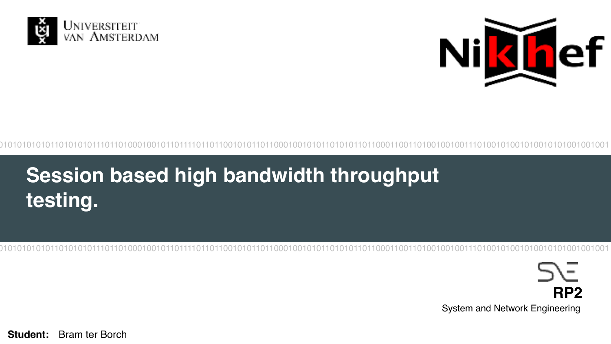



## Session based high bandwidth throughput testing.

ーノー RP<sub>2</sub> System and Network Engineering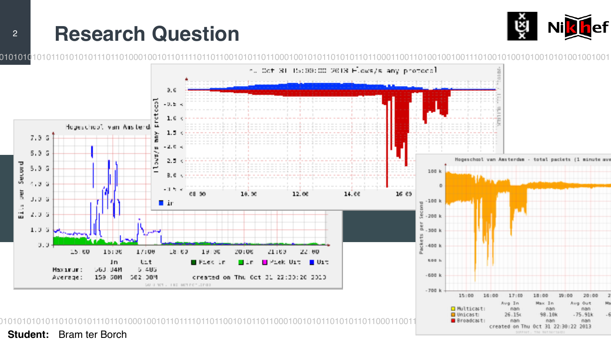#### **Research Question**  $\overline{2}$



Broadcasti

man

nan

created on Thu Oct 31 22:30:22 2013

SURFILIT, The Netherlan

nan

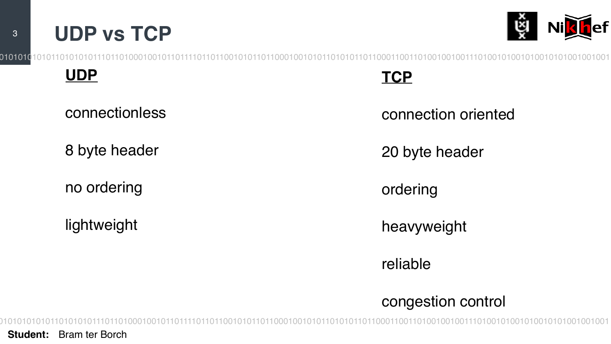



**UDP**

connectionless

8 byte header

no ordering

lightweight

**TCP**

connection oriented

20 byte header

ordering

heavyweight

reliable

### congestion control

010101010101101010101110110100010010110111101101100101011011000100101011010101101100011001101001001001110100101001010010101001001001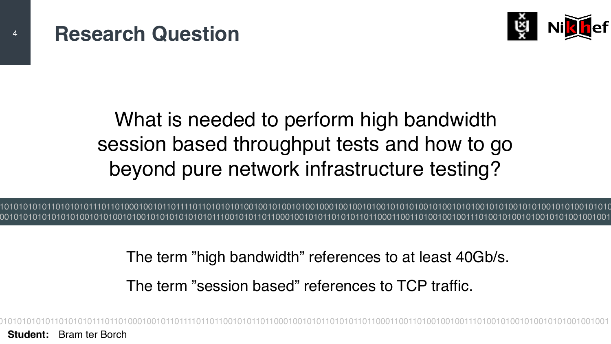

### session based throughput tests and how to go What is needed to perform high bandwidth beyond pure network infrastructure testing?

010101010101101010101110110100010010110111101101010101001001010010100100010010010100101010100101001010100101010010101001010100101010 100101010101010101001010100101001010101010101011100101011011000100101011010101101100011001101001001001110100101001010010101001001001

The term "high bandwidth" references to at least 40Gb/s.

The term "session based" references to TCP traffic.

010101010101101010101110110100010010110111101101100101011011000100101011010101101100011001101001001001110100101001010010101001001001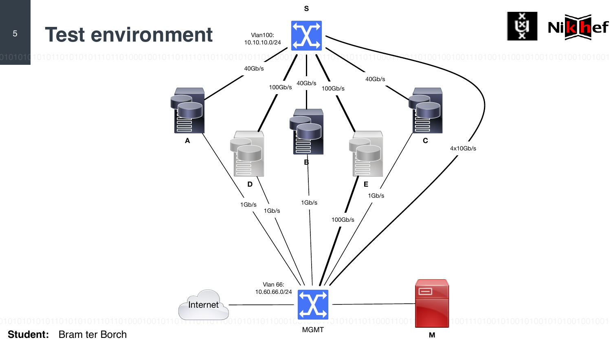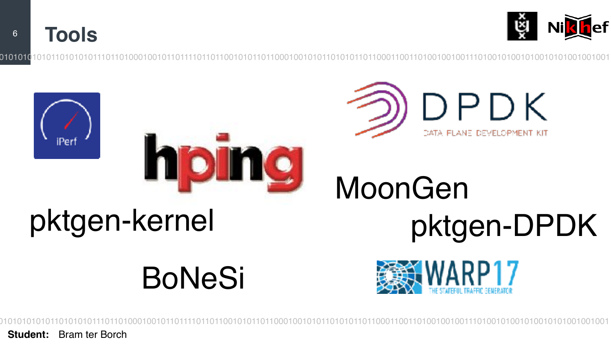**Tools**  $6\overline{6}$ 









MoonGen

## pktgen-kernel

## **BoNeSi**



pktgen-DPDK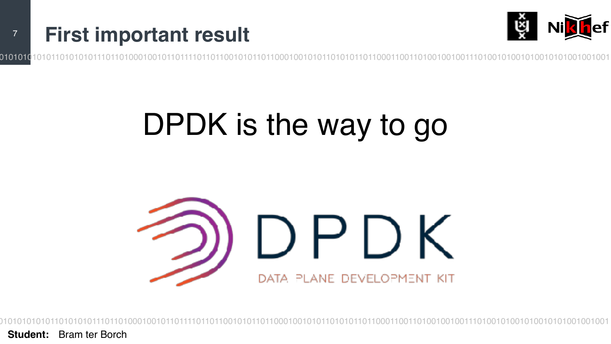



010101(

## DPDK is the way to go

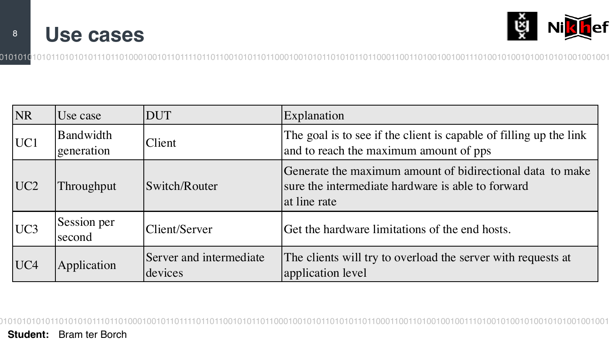



| <b>NR</b>       | Use case                | DUT                                | Explanation                                                                                                                    |
|-----------------|-------------------------|------------------------------------|--------------------------------------------------------------------------------------------------------------------------------|
| UC1             | Bandwidth<br>generation | Client                             | The goal is to see if the client is capable of filling up the link<br>and to reach the maximum amount of pps                   |
| UC <sub>2</sub> | Throughput              | Switch/Router                      | Generate the maximum amount of bidirectional data to make<br>sure the intermediate hardware is able to forward<br>at line rate |
| UC <sub>3</sub> | Session per<br>second   | Client/Server                      | Get the hardware limitations of the end hosts.                                                                                 |
| UC4             | Application             | Server and intermediate<br>devices | The clients will try to overload the server with requests at<br>application level                                              |

010101010101101010101110110100010010110111101101100101011011000100101011010101101100011001101001001001110100101001010010101001001001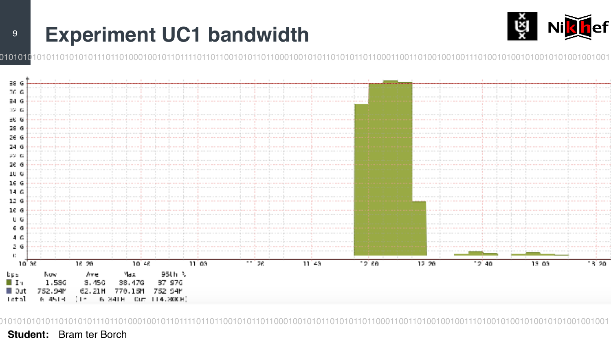### **Experiment UC1 bandwidth**



010101

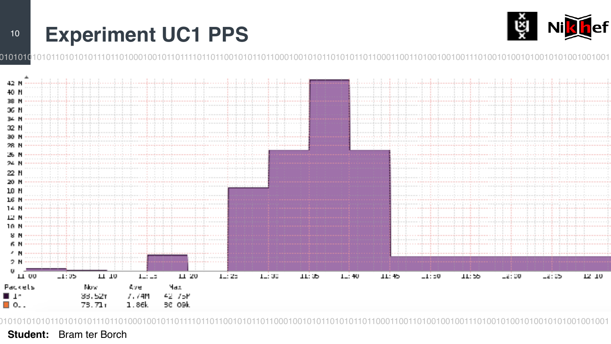### **Experiment UC1 PPS**



0101010



**Student:** Bram ter Borch

 $10$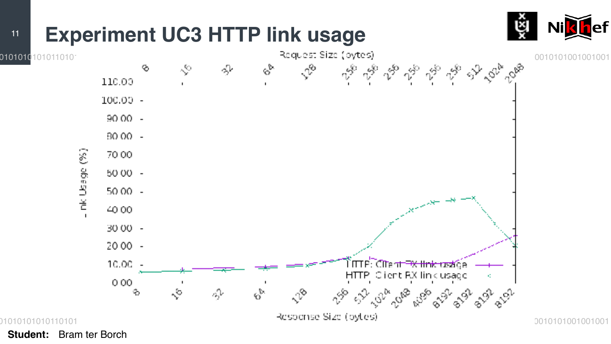#### **Experiment UC3 HTTP link usage**  $11$



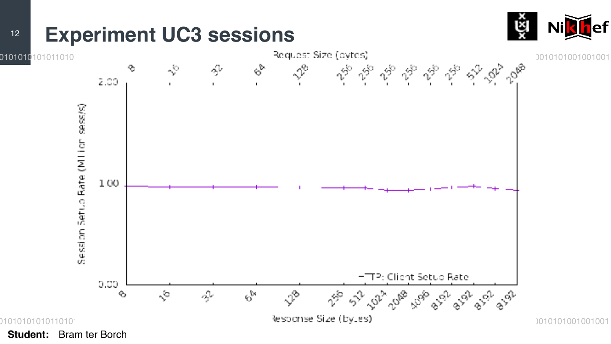#### **Experiment UC3 sessions**  $12$



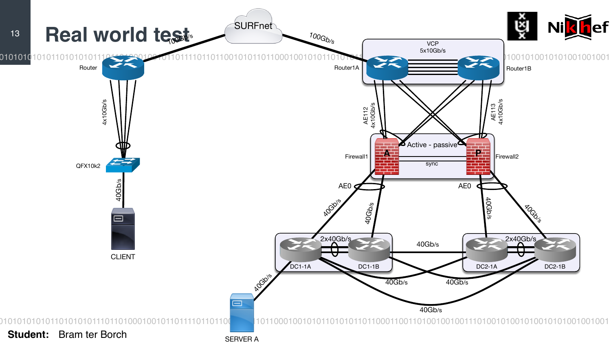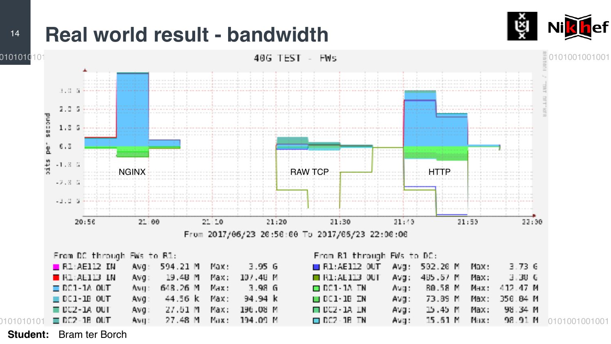### **Real world result - bandwidth**





**Student:** Bram ter Borch

 $14$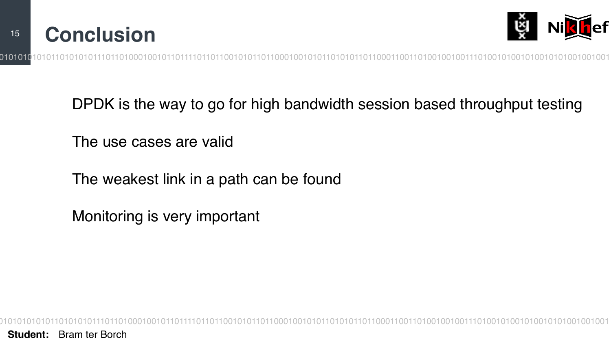



DPDK is the way to go for high bandwidth session based throughput testing

The use cases are valid

The weakest link in a path can be found

Monitoring is very important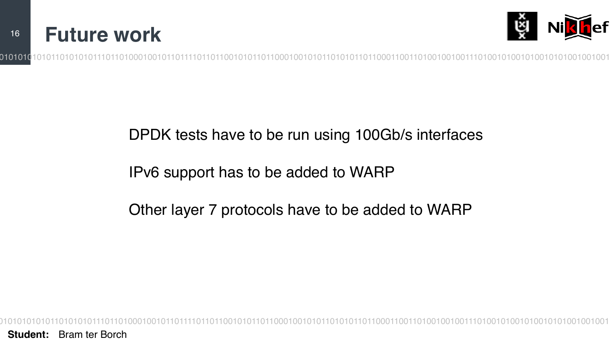



### DPDK tests have to be run using 100Gb/s interfaces

#### IPv6 support has to be added to WARP

### Other layer 7 protocols have to be added to WARP